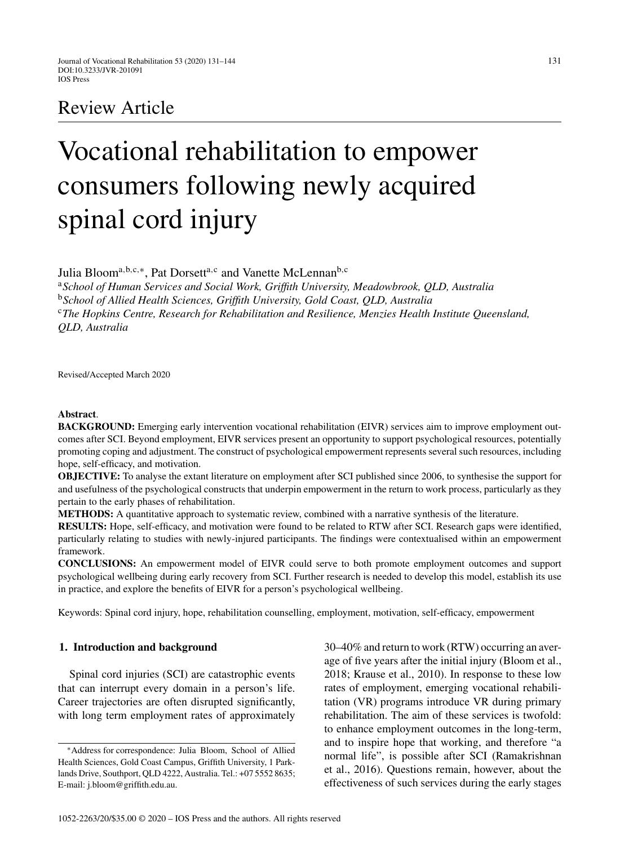# Review Article

# Vocational rehabilitation to empower consumers following newly acquired spinal cord injury

Julia Bloom<sup>a,b,c,∗</sup>, Pat Dorsett<sup>a,c</sup> and Vanette McLennan<sup>b,c</sup>

<sup>a</sup>*School of Human Services and Social Work, Griffith University, Meadowbrook, QLD, Australia* <sup>b</sup>*School of Allied Health Sciences, Griffith University, Gold Coast, QLD, Australia* <sup>c</sup>*The Hopkins Centre, Research for Rehabilitation and Resilience, Menzies Health Institute Queensland, QLD, Australia*

Revised/Accepted March 2020

#### **Abstract**.

**BACKGROUND:** Emerging early intervention vocational rehabilitation (EIVR) services aim to improve employment outcomes after SCI. Beyond employment, EIVR services present an opportunity to support psychological resources, potentially promoting coping and adjustment. The construct of psychological empowerment represents several such resources, including hope, self-efficacy, and motivation.

**OBJECTIVE:** To analyse the extant literature on employment after SCI published since 2006, to synthesise the support for and usefulness of the psychological constructs that underpin empowerment in the return to work process, particularly as they pertain to the early phases of rehabilitation.

**METHODS:** A quantitative approach to systematic review, combined with a narrative synthesis of the literature.

**RESULTS:** Hope, self-efficacy, and motivation were found to be related to RTW after SCI. Research gaps were identified, particularly relating to studies with newly-injured participants. The findings were contextualised within an empowerment framework.

**CONCLUSIONS:** An empowerment model of EIVR could serve to both promote employment outcomes and support psychological wellbeing during early recovery from SCI. Further research is needed to develop this model, establish its use in practice, and explore the benefits of EIVR for a person's psychological wellbeing.

Keywords: Spinal cord injury, hope, rehabilitation counselling, employment, motivation, self-efficacy, empowerment

# **1. Introduction and background**

Spinal cord injuries (SCI) are catastrophic events that can interrupt every domain in a person's life. Career trajectories are often disrupted significantly, with long term employment rates of approximately 30–40% and return to work (RTW) occurring an average of five years after the initial injury (Bloom et al., 2018; Krause et al., 2010). In response to these low rates of employment, emerging vocational rehabilitation (VR) programs introduce VR during primary rehabilitation. The aim of these services is twofold: to enhance employment outcomes in the long-term, and to inspire hope that working, and therefore "a normal life", is possible after SCI (Ramakrishnan et al., 2016). Questions remain, however, about the effectiveness of such services during the early stages

<sup>∗</sup>Address for correspondence: Julia Bloom, School of Allied Health Sciences, Gold Coast Campus, Griffith University, 1 Parklands Drive, Southport, QLD 4222, Australia. Tel.: +07 5552 8635; E-mail: [j.bloom@griffith.edu.au.](mailto:j.bloom@griffith.edu.au)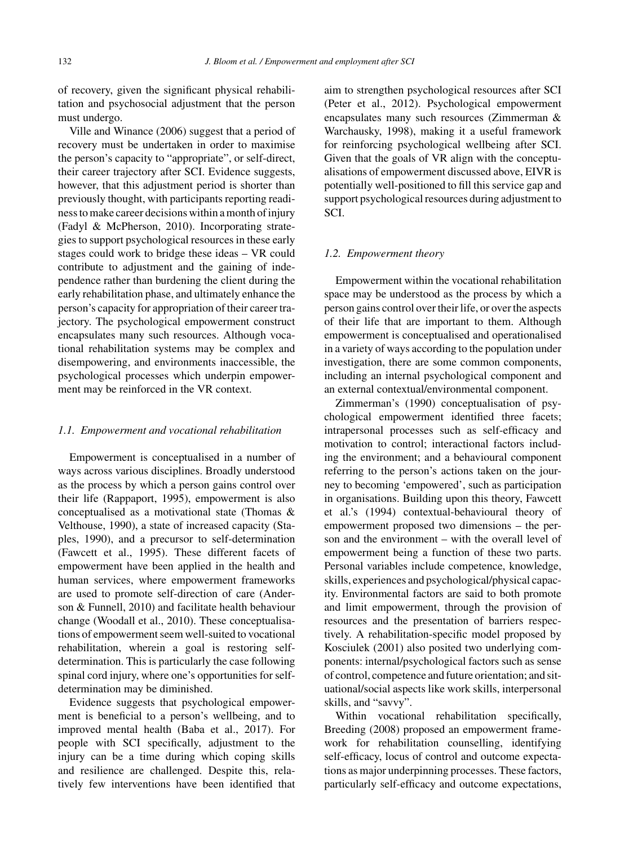of recovery, given the significant physical rehabilitation and psychosocial adjustment that the person must undergo.

Ville and Winance (2006) suggest that a period of recovery must be undertaken in order to maximise the person's capacity to "appropriate", or self-direct, their career trajectory after SCI. Evidence suggests, however, that this adjustment period is shorter than previously thought, with participants reporting readiness to make career decisions within a month of injury (Fadyl & McPherson, 2010). Incorporating strategies to support psychological resources in these early stages could work to bridge these ideas – VR could contribute to adjustment and the gaining of independence rather than burdening the client during the early rehabilitation phase, and ultimately enhance the person's capacity for appropriation of their career trajectory. The psychological empowerment construct encapsulates many such resources. Although vocational rehabilitation systems may be complex and disempowering, and environments inaccessible, the psychological processes which underpin empowerment may be reinforced in the VR context.

#### *1.1. Empowerment and vocational rehabilitation*

Empowerment is conceptualised in a number of ways across various disciplines. Broadly understood as the process by which a person gains control over their life (Rappaport, 1995), empowerment is also conceptualised as a motivational state (Thomas & Velthouse, 1990), a state of increased capacity (Staples, 1990), and a precursor to self-determination (Fawcett et al., 1995). These different facets of empowerment have been applied in the health and human services, where empowerment frameworks are used to promote self-direction of care (Anderson & Funnell, 2010) and facilitate health behaviour change (Woodall et al., 2010). These conceptualisations of empowerment seem well-suited to vocational rehabilitation, wherein a goal is restoring selfdetermination. This is particularly the case following spinal cord injury, where one's opportunities for selfdetermination may be diminished.

Evidence suggests that psychological empowerment is beneficial to a person's wellbeing, and to improved mental health (Baba et al., 2017). For people with SCI specifically, adjustment to the injury can be a time during which coping skills and resilience are challenged. Despite this, relatively few interventions have been identified that

aim to strengthen psychological resources after SCI (Peter et al., 2012). Psychological empowerment encapsulates many such resources (Zimmerman & Warchausky, 1998), making it a useful framework for reinforcing psychological wellbeing after SCI. Given that the goals of VR align with the conceptualisations of empowerment discussed above, EIVR is potentially well-positioned to fill this service gap and support psychological resources during adjustment to SCI.

# *1.2. Empowerment theory*

Empowerment within the vocational rehabilitation space may be understood as the process by which a person gains control over their life, or over the aspects of their life that are important to them. Although empowerment is conceptualised and operationalised in a variety of ways according to the population under investigation, there are some common components, including an internal psychological component and an external contextual/environmental component.

Zimmerman's (1990) conceptualisation of psychological empowerment identified three facets; intrapersonal processes such as self-efficacy and motivation to control; interactional factors including the environment; and a behavioural component referring to the person's actions taken on the journey to becoming 'empowered', such as participation in organisations. Building upon this theory, Fawcett et al.'s (1994) contextual-behavioural theory of empowerment proposed two dimensions – the person and the environment – with the overall level of empowerment being a function of these two parts. Personal variables include competence, knowledge, skills, experiences and psychological/physical capacity. Environmental factors are said to both promote and limit empowerment, through the provision of resources and the presentation of barriers respectively. A rehabilitation-specific model proposed by Kosciulek (2001) also posited two underlying components: internal/psychological factors such as sense of control, competence and future orientation; and situational/social aspects like work skills, interpersonal skills, and "savvy".

Within vocational rehabilitation specifically, Breeding (2008) proposed an empowerment framework for rehabilitation counselling, identifying self-efficacy, locus of control and outcome expectations as major underpinning processes. These factors, particularly self-efficacy and outcome expectations,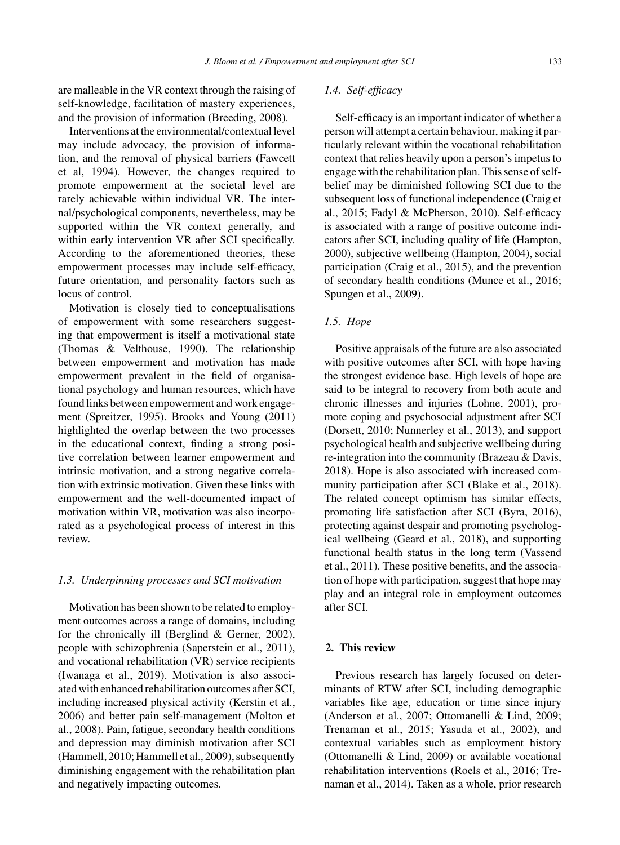are malleable in the VR context through the raising of self-knowledge, facilitation of mastery experiences, and the provision of information (Breeding, 2008).

Interventions at the environmental/contextual level may include advocacy, the provision of information, and the removal of physical barriers (Fawcett et al, 1994). However, the changes required to promote empowerment at the societal level are rarely achievable within individual VR. The internal/psychological components, nevertheless, may be supported within the VR context generally, and within early intervention VR after SCI specifically. According to the aforementioned theories, these empowerment processes may include self-efficacy, future orientation, and personality factors such as locus of control.

Motivation is closely tied to conceptualisations of empowerment with some researchers suggesting that empowerment is itself a motivational state (Thomas & Velthouse, 1990). The relationship between empowerment and motivation has made empowerment prevalent in the field of organisational psychology and human resources, which have found links between empowerment and work engagement (Spreitzer, 1995). Brooks and Young (2011) highlighted the overlap between the two processes in the educational context, finding a strong positive correlation between learner empowerment and intrinsic motivation, and a strong negative correlation with extrinsic motivation. Given these links with empowerment and the well-documented impact of motivation within VR, motivation was also incorporated as a psychological process of interest in this review.

#### *1.3. Underpinning processes and SCI motivation*

Motivation has been shown to be related to employment outcomes across a range of domains, including for the chronically ill (Berglind & Gerner, 2002), people with schizophrenia (Saperstein et al., 2011), and vocational rehabilitation (VR) service recipients (Iwanaga et al., 2019). Motivation is also associated with enhanced rehabilitation outcomes after SCI, including increased physical activity (Kerstin et al., 2006) and better pain self-management (Molton et al., 2008). Pain, fatigue, secondary health conditions and depression may diminish motivation after SCI (Hammell, 2010; Hammell et al., 2009), subsequently diminishing engagement with the rehabilitation plan and negatively impacting outcomes.

# *1.4. Self-efficacy*

Self-efficacy is an important indicator of whether a person will attempt a certain behaviour, making it particularly relevant within the vocational rehabilitation context that relies heavily upon a person's impetus to engage with the rehabilitation plan. This sense of selfbelief may be diminished following SCI due to the subsequent loss of functional independence (Craig et al., 2015; Fadyl & McPherson, 2010). Self-efficacy is associated with a range of positive outcome indicators after SCI, including quality of life (Hampton, 2000), subjective wellbeing (Hampton, 2004), social participation (Craig et al., 2015), and the prevention of secondary health conditions (Munce et al., 2016; Spungen et al., 2009).

# *1.5. Hope*

Positive appraisals of the future are also associated with positive outcomes after SCI, with hope having the strongest evidence base. High levels of hope are said to be integral to recovery from both acute and chronic illnesses and injuries (Lohne, 2001), promote coping and psychosocial adjustment after SCI (Dorsett, 2010; Nunnerley et al., 2013), and support psychological health and subjective wellbeing during re-integration into the community (Brazeau & Davis, 2018). Hope is also associated with increased community participation after SCI (Blake et al., 2018). The related concept optimism has similar effects, promoting life satisfaction after SCI (Byra, 2016), protecting against despair and promoting psychological wellbeing (Geard et al., 2018), and supporting functional health status in the long term (Vassend et al., 2011). These positive benefits, and the association of hope with participation, suggest that hope may play and an integral role in employment outcomes after SCI.

# **2. This review**

Previous research has largely focused on determinants of RTW after SCI, including demographic variables like age, education or time since injury (Anderson et al., 2007; Ottomanelli & Lind, 2009; Trenaman et al., 2015; Yasuda et al., 2002), and contextual variables such as employment history (Ottomanelli & Lind, 2009) or available vocational rehabilitation interventions (Roels et al., 2016; Trenaman et al., 2014). Taken as a whole, prior research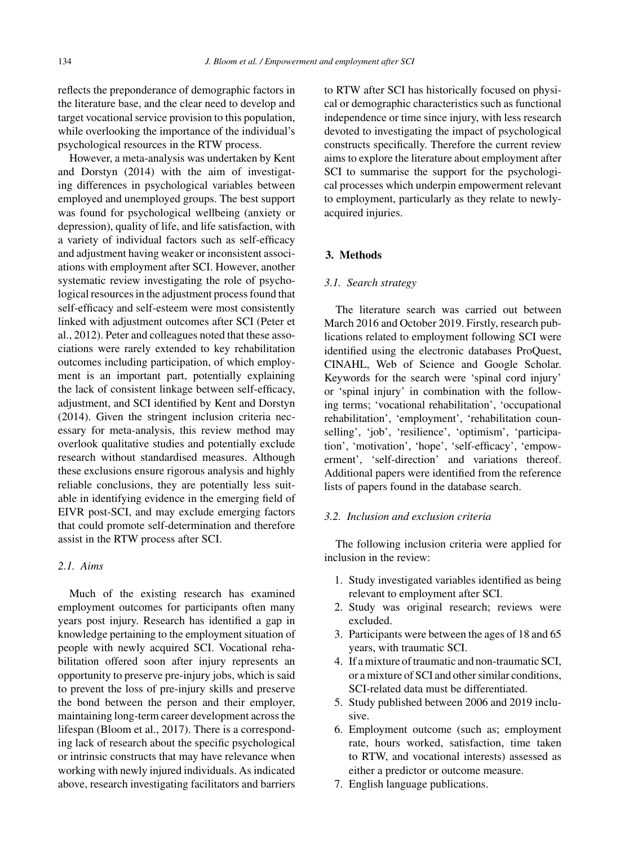reflects the preponderance of demographic factors in the literature base, and the clear need to develop and target vocational service provision to this population, while overlooking the importance of the individual's psychological resources in the RTW process.

However, a meta-analysis was undertaken by Kent and Dorstyn (2014) with the aim of investigating differences in psychological variables between employed and unemployed groups. The best support was found for psychological wellbeing (anxiety or depression), quality of life, and life satisfaction, with a variety of individual factors such as self-efficacy and adjustment having weaker or inconsistent associations with employment after SCI. However, another systematic review investigating the role of psychological resources in the adjustment process found that self-efficacy and self-esteem were most consistently linked with adjustment outcomes after SCI (Peter et al., 2012). Peter and colleagues noted that these associations were rarely extended to key rehabilitation outcomes including participation, of which employment is an important part, potentially explaining the lack of consistent linkage between self-efficacy, adjustment, and SCI identified by Kent and Dorstyn (2014). Given the stringent inclusion criteria necessary for meta-analysis, this review method may overlook qualitative studies and potentially exclude research without standardised measures. Although these exclusions ensure rigorous analysis and highly reliable conclusions, they are potentially less suitable in identifying evidence in the emerging field of EIVR post-SCI, and may exclude emerging factors that could promote self-determination and therefore assist in the RTW process after SCI.

# *2.1. Aims*

Much of the existing research has examined employment outcomes for participants often many years post injury. Research has identified a gap in knowledge pertaining to the employment situation of people with newly acquired SCI. Vocational rehabilitation offered soon after injury represents an opportunity to preserve pre-injury jobs, which is said to prevent the loss of pre-injury skills and preserve the bond between the person and their employer, maintaining long-term career development across the lifespan (Bloom et al., 2017). There is a corresponding lack of research about the specific psychological or intrinsic constructs that may have relevance when working with newly injured individuals. As indicated above, research investigating facilitators and barriers

to RTW after SCI has historically focused on physical or demographic characteristics such as functional independence or time since injury, with less research devoted to investigating the impact of psychological constructs specifically. Therefore the current review aims to explore the literature about employment after SCI to summarise the support for the psychological processes which underpin empowerment relevant to employment, particularly as they relate to newlyacquired injuries.

# **3. Methods**

#### *3.1. Search strategy*

The literature search was carried out between March 2016 and October 2019. Firstly, research publications related to employment following SCI were identified using the electronic databases ProQuest, CINAHL, Web of Science and Google Scholar. Keywords for the search were 'spinal cord injury' or 'spinal injury' in combination with the following terms; 'vocational rehabilitation', 'occupational rehabilitation', 'employment', 'rehabilitation counselling', 'job', 'resilience', 'optimism', 'participation', 'motivation', 'hope', 'self-efficacy', 'empowerment', 'self-direction' and variations thereof. Additional papers were identified from the reference lists of papers found in the database search.

# *3.2. Inclusion and exclusion criteria*

The following inclusion criteria were applied for inclusion in the review:

- 1. Study investigated variables identified as being relevant to employment after SCI.
- 2. Study was original research; reviews were excluded.
- 3. Participants were between the ages of 18 and 65 years, with traumatic SCI.
- 4. If a mixture of traumatic and non-traumatic SCI, or a mixture of SCI and other similar conditions, SCI-related data must be differentiated.
- 5. Study published between 2006 and 2019 inclusive.
- 6. Employment outcome (such as; employment rate, hours worked, satisfaction, time taken to RTW, and vocational interests) assessed as either a predictor or outcome measure.
- 7. English language publications.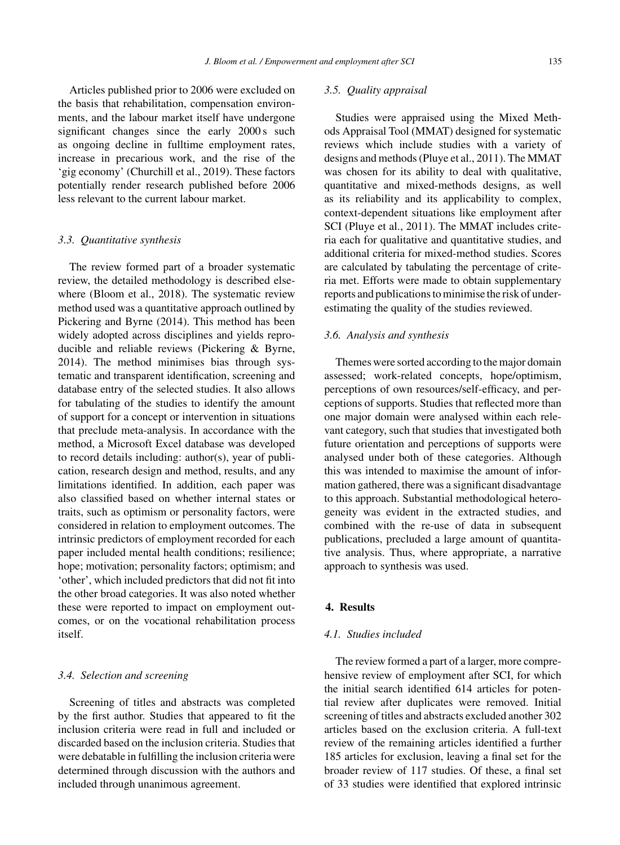Articles published prior to 2006 were excluded on the basis that rehabilitation, compensation environments, and the labour market itself have undergone significant changes since the early 2000 s such as ongoing decline in fulltime employment rates, increase in precarious work, and the rise of the 'gig economy' (Churchill et al., 2019). These factors potentially render research published before 2006 less relevant to the current labour market.

# *3.3. Quantitative synthesis*

The review formed part of a broader systematic review, the detailed methodology is described elsewhere (Bloom et al., 2018). The systematic review method used was a quantitative approach outlined by Pickering and Byrne (2014). This method has been widely adopted across disciplines and yields reproducible and reliable reviews (Pickering & Byrne, 2014). The method minimises bias through systematic and transparent identification, screening and database entry of the selected studies. It also allows for tabulating of the studies to identify the amount of support for a concept or intervention in situations that preclude meta-analysis. In accordance with the method, a Microsoft Excel database was developed to record details including: author(s), year of publication, research design and method, results, and any limitations identified. In addition, each paper was also classified based on whether internal states or traits, such as optimism or personality factors, were considered in relation to employment outcomes. The intrinsic predictors of employment recorded for each paper included mental health conditions; resilience; hope; motivation; personality factors; optimism; and 'other', which included predictors that did not fit into the other broad categories. It was also noted whether these were reported to impact on employment outcomes, or on the vocational rehabilitation process itself.

# *3.4. Selection and screening*

Screening of titles and abstracts was completed by the first author. Studies that appeared to fit the inclusion criteria were read in full and included or discarded based on the inclusion criteria. Studies that were debatable in fulfilling the inclusion criteria were determined through discussion with the authors and included through unanimous agreement.

# *3.5. Quality appraisal*

Studies were appraised using the Mixed Methods Appraisal Tool (MMAT) designed for systematic reviews which include studies with a variety of designs and methods (Pluye et al., 2011). The MMAT was chosen for its ability to deal with qualitative, quantitative and mixed-methods designs, as well as its reliability and its applicability to complex, context-dependent situations like employment after SCI (Pluye et al., 2011). The MMAT includes criteria each for qualitative and quantitative studies, and additional criteria for mixed-method studies. Scores are calculated by tabulating the percentage of criteria met. Efforts were made to obtain supplementary reports and publications to minimise the risk of underestimating the quality of the studies reviewed.

#### *3.6. Analysis and synthesis*

Themes were sorted according to the major domain assessed; work-related concepts, hope/optimism, perceptions of own resources/self-efficacy, and perceptions of supports. Studies that reflected more than one major domain were analysed within each relevant category, such that studies that investigated both future orientation and perceptions of supports were analysed under both of these categories. Although this was intended to maximise the amount of information gathered, there was a significant disadvantage to this approach. Substantial methodological heterogeneity was evident in the extracted studies, and combined with the re-use of data in subsequent publications, precluded a large amount of quantitative analysis. Thus, where appropriate, a narrative approach to synthesis was used.

# **4. Results**

# *4.1. Studies included*

The review formed a part of a larger, more comprehensive review of employment after SCI, for which the initial search identified 614 articles for potential review after duplicates were removed. Initial screening of titles and abstracts excluded another 302 articles based on the exclusion criteria. A full-text review of the remaining articles identified a further 185 articles for exclusion, leaving a final set for the broader review of 117 studies. Of these, a final set of 33 studies were identified that explored intrinsic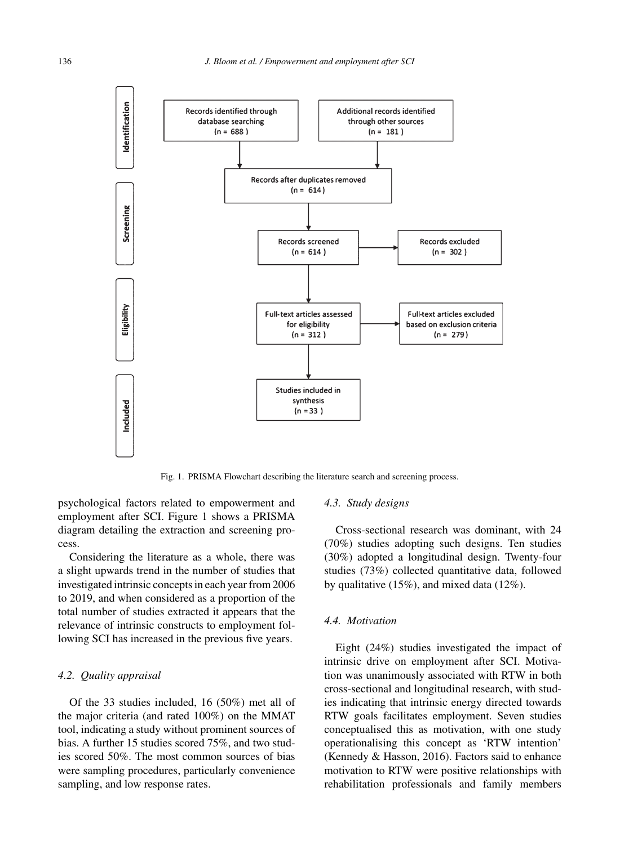

Fig. 1. PRISMA Flowchart describing the literature search and screening process.

psychological factors related to empowerment and employment after SCI. Figure 1 shows a PRISMA diagram detailing the extraction and screening process.

Considering the literature as a whole, there was a slight upwards trend in the number of studies that investigated intrinsic concepts in each year from 2006 to 2019, and when considered as a proportion of the total number of studies extracted it appears that the relevance of intrinsic constructs to employment following SCI has increased in the previous five years.

#### *4.2. Quality appraisal*

Of the 33 studies included, 16 (50%) met all of the major criteria (and rated 100%) on the MMAT tool, indicating a study without prominent sources of bias. A further 15 studies scored 75%, and two studies scored 50%. The most common sources of bias were sampling procedures, particularly convenience sampling, and low response rates.

#### *4.3. Study designs*

Cross-sectional research was dominant, with 24 (70%) studies adopting such designs. Ten studies (30%) adopted a longitudinal design. Twenty-four studies (73%) collected quantitative data, followed by qualitative (15%), and mixed data (12%).

# *4.4. Motivation*

Eight (24%) studies investigated the impact of intrinsic drive on employment after SCI. Motivation was unanimously associated with RTW in both cross-sectional and longitudinal research, with studies indicating that intrinsic energy directed towards RTW goals facilitates employment. Seven studies conceptualised this as motivation, with one study operationalising this concept as 'RTW intention' (Kennedy & Hasson, 2016). Factors said to enhance motivation to RTW were positive relationships with rehabilitation professionals and family members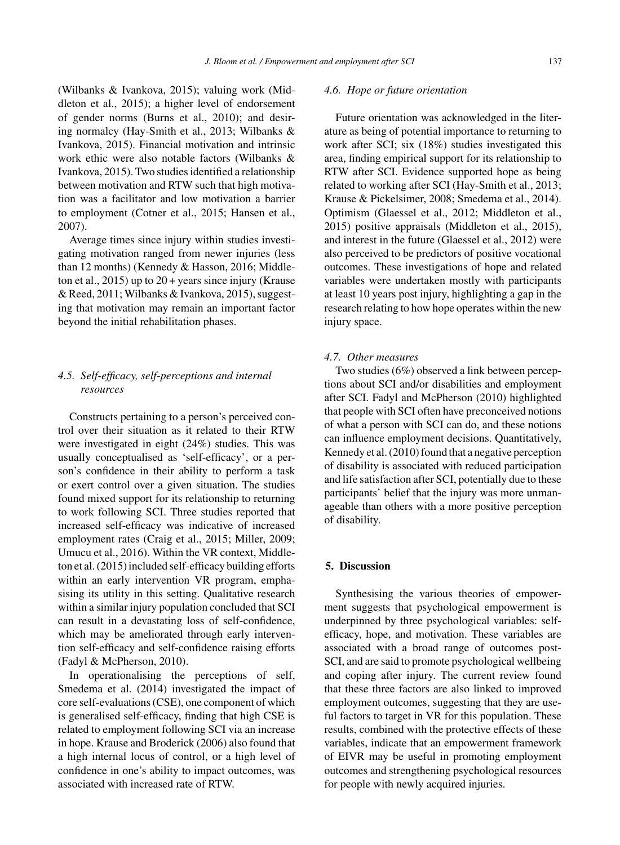(Wilbanks & Ivankova, 2015); valuing work (Middleton et al., 2015); a higher level of endorsement of gender norms (Burns et al., 2010); and desiring normalcy (Hay-Smith et al., 2013; Wilbanks & Ivankova, 2015). Financial motivation and intrinsic work ethic were also notable factors (Wilbanks & Ivankova, 2015). Two studies identified a relationship between motivation and RTW such that high motivation was a facilitator and low motivation a barrier to employment (Cotner et al., 2015; Hansen et al., 2007).

Average times since injury within studies investigating motivation ranged from newer injuries (less than 12 months) (Kennedy & Hasson, 2016; Middleton et al.,  $2015$ ) up to  $20 +$  years since injury (Krause & Reed, 2011; Wilbanks & Ivankova, 2015), suggesting that motivation may remain an important factor beyond the initial rehabilitation phases.

# *4.5. Self-efficacy, self-perceptions and internal resources*

Constructs pertaining to a person's perceived control over their situation as it related to their RTW were investigated in eight (24%) studies. This was usually conceptualised as 'self-efficacy', or a person's confidence in their ability to perform a task or exert control over a given situation. The studies found mixed support for its relationship to returning to work following SCI. Three studies reported that increased self-efficacy was indicative of increased employment rates (Craig et al., 2015; Miller, 2009; Umucu et al., 2016). Within the VR context, Middleton et al. (2015) included self-efficacy building efforts within an early intervention VR program, emphasising its utility in this setting. Qualitative research within a similar injury population concluded that SCI can result in a devastating loss of self-confidence, which may be ameliorated through early intervention self-efficacy and self-confidence raising efforts (Fadyl & McPherson, 2010).

In operationalising the perceptions of self, Smedema et al. (2014) investigated the impact of core self-evaluations (CSE), one component of which is generalised self-efficacy, finding that high CSE is related to employment following SCI via an increase in hope. Krause and Broderick (2006) also found that a high internal locus of control, or a high level of confidence in one's ability to impact outcomes, was associated with increased rate of RTW.

#### *4.6. Hope or future orientation*

Future orientation was acknowledged in the literature as being of potential importance to returning to work after SCI; six (18%) studies investigated this area, finding empirical support for its relationship to RTW after SCI. Evidence supported hope as being related to working after SCI (Hay-Smith et al., 2013; Krause & Pickelsimer, 2008; Smedema et al., 2014). Optimism (Glaessel et al., 2012; Middleton et al., 2015) positive appraisals (Middleton et al., 2015), and interest in the future (Glaessel et al., 2012) were also perceived to be predictors of positive vocational outcomes. These investigations of hope and related variables were undertaken mostly with participants at least 10 years post injury, highlighting a gap in the research relating to how hope operates within the new injury space.

#### *4.7. Other measures*

Two studies (6%) observed a link between perceptions about SCI and/or disabilities and employment after SCI. Fadyl and McPherson (2010) highlighted that people with SCI often have preconceived notions of what a person with SCI can do, and these notions can influence employment decisions. Quantitatively, Kennedy et al. (2010) found that a negative perception of disability is associated with reduced participation and life satisfaction after SCI, potentially due to these participants' belief that the injury was more unmanageable than others with a more positive perception of disability.

# **5. Discussion**

Synthesising the various theories of empowerment suggests that psychological empowerment is underpinned by three psychological variables: selfefficacy, hope, and motivation. These variables are associated with a broad range of outcomes post-SCI, and are said to promote psychological wellbeing and coping after injury. The current review found that these three factors are also linked to improved employment outcomes, suggesting that they are useful factors to target in VR for this population. These results, combined with the protective effects of these variables, indicate that an empowerment framework of EIVR may be useful in promoting employment outcomes and strengthening psychological resources for people with newly acquired injuries.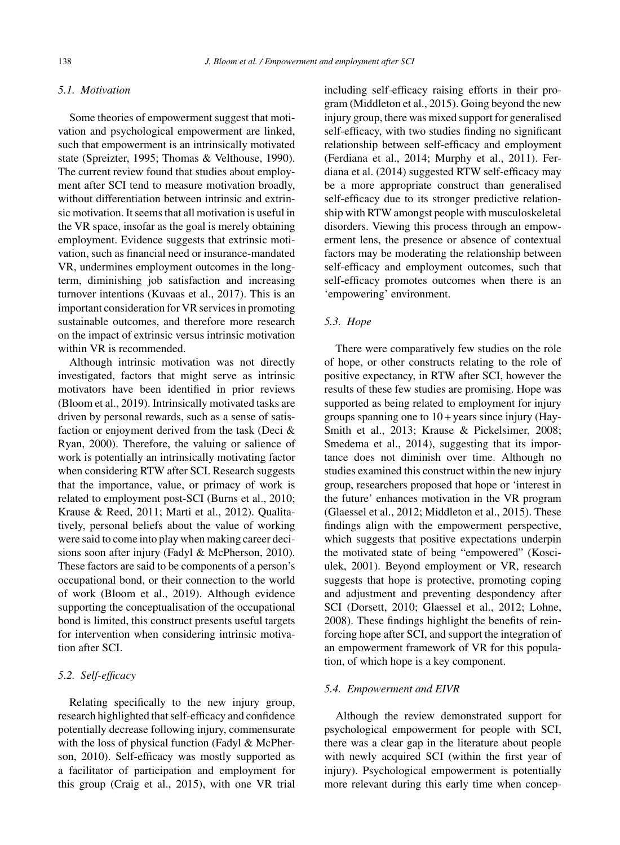# *5.1. Motivation*

Some theories of empowerment suggest that motivation and psychological empowerment are linked, such that empowerment is an intrinsically motivated state (Spreizter, 1995; Thomas & Velthouse, 1990). The current review found that studies about employment after SCI tend to measure motivation broadly, without differentiation between intrinsic and extrinsic motivation. It seems that all motivation is useful in the VR space, insofar as the goal is merely obtaining employment. Evidence suggests that extrinsic motivation, such as financial need or insurance-mandated VR, undermines employment outcomes in the longterm, diminishing job satisfaction and increasing turnover intentions (Kuvaas et al., 2017). This is an important consideration for VR services in promoting sustainable outcomes, and therefore more research on the impact of extrinsic versus intrinsic motivation within VR is recommended.

Although intrinsic motivation was not directly investigated, factors that might serve as intrinsic motivators have been identified in prior reviews (Bloom et al., 2019). Intrinsically motivated tasks are driven by personal rewards, such as a sense of satisfaction or enjoyment derived from the task (Deci & Ryan, 2000). Therefore, the valuing or salience of work is potentially an intrinsically motivating factor when considering RTW after SCI. Research suggests that the importance, value, or primacy of work is related to employment post-SCI (Burns et al., 2010; Krause & Reed, 2011; Marti et al., 2012). Qualitatively, personal beliefs about the value of working were said to come into play when making career decisions soon after injury (Fadyl & McPherson, 2010). These factors are said to be components of a person's occupational bond, or their connection to the world of work (Bloom et al., 2019). Although evidence supporting the conceptualisation of the occupational bond is limited, this construct presents useful targets for intervention when considering intrinsic motivation after SCI.

# *5.2. Self-efficacy*

Relating specifically to the new injury group, research highlighted that self-efficacy and confidence potentially decrease following injury, commensurate with the loss of physical function (Fadyl & McPherson, 2010). Self-efficacy was mostly supported as a facilitator of participation and employment for this group (Craig et al., 2015), with one VR trial

including self-efficacy raising efforts in their program (Middleton et al., 2015). Going beyond the new injury group, there was mixed support for generalised self-efficacy, with two studies finding no significant relationship between self-efficacy and employment (Ferdiana et al., 2014; Murphy et al., 2011). Ferdiana et al. (2014) suggested RTW self-efficacy may be a more appropriate construct than generalised self-efficacy due to its stronger predictive relationship with RTW amongst people with musculoskeletal disorders. Viewing this process through an empowerment lens, the presence or absence of contextual factors may be moderating the relationship between self-efficacy and employment outcomes, such that self-efficacy promotes outcomes when there is an 'empowering' environment.

# *5.3. Hope*

There were comparatively few studies on the role of hope, or other constructs relating to the role of positive expectancy, in RTW after SCI, however the results of these few studies are promising. Hope was supported as being related to employment for injury groups spanning one to  $10 + \text{years}$  since injury (Hay-Smith et al., 2013; Krause & Pickelsimer, 2008; Smedema et al., 2014), suggesting that its importance does not diminish over time. Although no studies examined this construct within the new injury group, researchers proposed that hope or 'interest in the future' enhances motivation in the VR program (Glaessel et al., 2012; Middleton et al., 2015). These findings align with the empowerment perspective, which suggests that positive expectations underpin the motivated state of being "empowered" (Kosciulek, 2001). Beyond employment or VR, research suggests that hope is protective, promoting coping and adjustment and preventing despondency after SCI (Dorsett, 2010; Glaessel et al., 2012; Lohne, 2008). These findings highlight the benefits of reinforcing hope after SCI, and support the integration of an empowerment framework of VR for this population, of which hope is a key component.

#### *5.4. Empowerment and EIVR*

Although the review demonstrated support for psychological empowerment for people with SCI, there was a clear gap in the literature about people with newly acquired SCI (within the first year of injury). Psychological empowerment is potentially more relevant during this early time when concep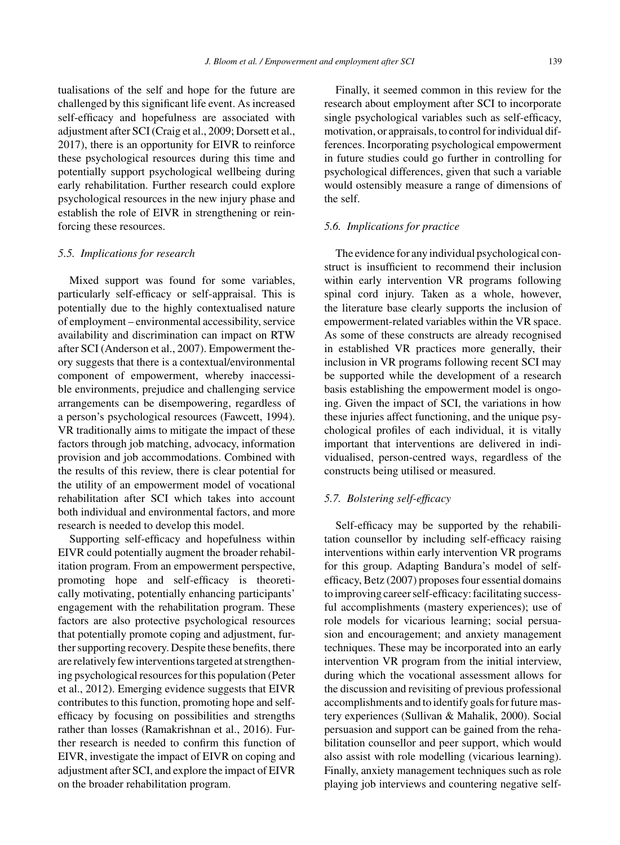tualisations of the self and hope for the future are challenged by this significant life event. As increased self-efficacy and hopefulness are associated with adjustment after SCI (Craig et al., 2009; Dorsett et al., 2017), there is an opportunity for EIVR to reinforce these psychological resources during this time and potentially support psychological wellbeing during early rehabilitation. Further research could explore psychological resources in the new injury phase and establish the role of EIVR in strengthening or reinforcing these resources.

# *5.5. Implications for research*

Mixed support was found for some variables, particularly self-efficacy or self-appraisal. This is potentially due to the highly contextualised nature of employment – environmental accessibility, service availability and discrimination can impact on RTW after SCI (Anderson et al., 2007). Empowerment theory suggests that there is a contextual/environmental component of empowerment, whereby inaccessible environments, prejudice and challenging service arrangements can be disempowering, regardless of a person's psychological resources (Fawcett, 1994). VR traditionally aims to mitigate the impact of these factors through job matching, advocacy, information provision and job accommodations. Combined with the results of this review, there is clear potential for the utility of an empowerment model of vocational rehabilitation after SCI which takes into account both individual and environmental factors, and more research is needed to develop this model.

Supporting self-efficacy and hopefulness within EIVR could potentially augment the broader rehabilitation program. From an empowerment perspective, promoting hope and self-efficacy is theoretically motivating, potentially enhancing participants' engagement with the rehabilitation program. These factors are also protective psychological resources that potentially promote coping and adjustment, further supporting recovery. Despite these benefits, there are relatively few interventions targeted at strengthening psychological resources for this population (Peter et al., 2012). Emerging evidence suggests that EIVR contributes to this function, promoting hope and selfefficacy by focusing on possibilities and strengths rather than losses (Ramakrishnan et al., 2016). Further research is needed to confirm this function of EIVR, investigate the impact of EIVR on coping and adjustment after SCI, and explore the impact of EIVR on the broader rehabilitation program.

Finally, it seemed common in this review for the research about employment after SCI to incorporate single psychological variables such as self-efficacy, motivation, or appraisals, to control for individual differences. Incorporating psychological empowerment in future studies could go further in controlling for psychological differences, given that such a variable would ostensibly measure a range of dimensions of the self.

# *5.6. Implications for practice*

The evidence for any individual psychological construct is insufficient to recommend their inclusion within early intervention VR programs following spinal cord injury. Taken as a whole, however, the literature base clearly supports the inclusion of empowerment-related variables within the VR space. As some of these constructs are already recognised in established VR practices more generally, their inclusion in VR programs following recent SCI may be supported while the development of a research basis establishing the empowerment model is ongoing. Given the impact of SCI, the variations in how these injuries affect functioning, and the unique psychological profiles of each individual, it is vitally important that interventions are delivered in individualised, person-centred ways, regardless of the constructs being utilised or measured.

# *5.7. Bolstering self-efficacy*

Self-efficacy may be supported by the rehabilitation counsellor by including self-efficacy raising interventions within early intervention VR programs for this group. Adapting Bandura's model of selfefficacy, Betz (2007) proposes four essential domains to improving career self-efficacy: facilitating successful accomplishments (mastery experiences); use of role models for vicarious learning; social persuasion and encouragement; and anxiety management techniques. These may be incorporated into an early intervention VR program from the initial interview, during which the vocational assessment allows for the discussion and revisiting of previous professional accomplishments and to identify goals for future mastery experiences (Sullivan & Mahalik, 2000). Social persuasion and support can be gained from the rehabilitation counsellor and peer support, which would also assist with role modelling (vicarious learning). Finally, anxiety management techniques such as role playing job interviews and countering negative self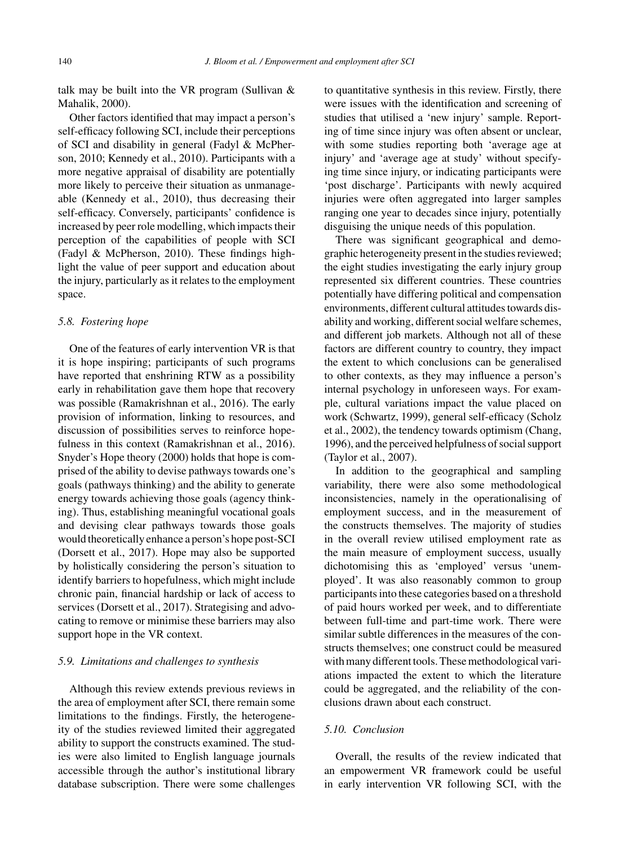talk may be built into the VR program (Sullivan  $\&$ Mahalik, 2000).

Other factors identified that may impact a person's self-efficacy following SCI, include their perceptions of SCI and disability in general (Fadyl & McPherson, 2010; Kennedy et al., 2010). Participants with a more negative appraisal of disability are potentially more likely to perceive their situation as unmanageable (Kennedy et al., 2010), thus decreasing their self-efficacy. Conversely, participants' confidence is increased by peer role modelling, which impacts their perception of the capabilities of people with SCI (Fadyl & McPherson, 2010). These findings highlight the value of peer support and education about the injury, particularly as it relates to the employment space.

# *5.8. Fostering hope*

One of the features of early intervention VR is that it is hope inspiring; participants of such programs have reported that enshrining RTW as a possibility early in rehabilitation gave them hope that recovery was possible (Ramakrishnan et al., 2016). The early provision of information, linking to resources, and discussion of possibilities serves to reinforce hopefulness in this context (Ramakrishnan et al., 2016). Snyder's Hope theory (2000) holds that hope is comprised of the ability to devise pathways towards one's goals (pathways thinking) and the ability to generate energy towards achieving those goals (agency thinking). Thus, establishing meaningful vocational goals and devising clear pathways towards those goals would theoretically enhance a person's hope post-SCI (Dorsett et al., 2017). Hope may also be supported by holistically considering the person's situation to identify barriers to hopefulness, which might include chronic pain, financial hardship or lack of access to services (Dorsett et al., 2017). Strategising and advocating to remove or minimise these barriers may also support hope in the VR context.

#### *5.9. Limitations and challenges to synthesis*

Although this review extends previous reviews in the area of employment after SCI, there remain some limitations to the findings. Firstly, the heterogeneity of the studies reviewed limited their aggregated ability to support the constructs examined. The studies were also limited to English language journals accessible through the author's institutional library database subscription. There were some challenges

to quantitative synthesis in this review. Firstly, there were issues with the identification and screening of studies that utilised a 'new injury' sample. Reporting of time since injury was often absent or unclear, with some studies reporting both 'average age at injury' and 'average age at study' without specifying time since injury, or indicating participants were 'post discharge'. Participants with newly acquired injuries were often aggregated into larger samples ranging one year to decades since injury, potentially disguising the unique needs of this population.

There was significant geographical and demographic heterogeneity present in the studies reviewed; the eight studies investigating the early injury group represented six different countries. These countries potentially have differing political and compensation environments, different cultural attitudes towards disability and working, different social welfare schemes, and different job markets. Although not all of these factors are different country to country, they impact the extent to which conclusions can be generalised to other contexts, as they may influence a person's internal psychology in unforeseen ways. For example, cultural variations impact the value placed on work (Schwartz, 1999), general self-efficacy (Scholz et al., 2002), the tendency towards optimism (Chang, 1996), and the perceived helpfulness of social support (Taylor et al., 2007).

In addition to the geographical and sampling variability, there were also some methodological inconsistencies, namely in the operationalising of employment success, and in the measurement of the constructs themselves. The majority of studies in the overall review utilised employment rate as the main measure of employment success, usually dichotomising this as 'employed' versus 'unemployed'. It was also reasonably common to group participants into these categories based on a threshold of paid hours worked per week, and to differentiate between full-time and part-time work. There were similar subtle differences in the measures of the constructs themselves; one construct could be measured with many different tools. These methodological variations impacted the extent to which the literature could be aggregated, and the reliability of the conclusions drawn about each construct.

# *5.10. Conclusion*

Overall, the results of the review indicated that an empowerment VR framework could be useful in early intervention VR following SCI, with the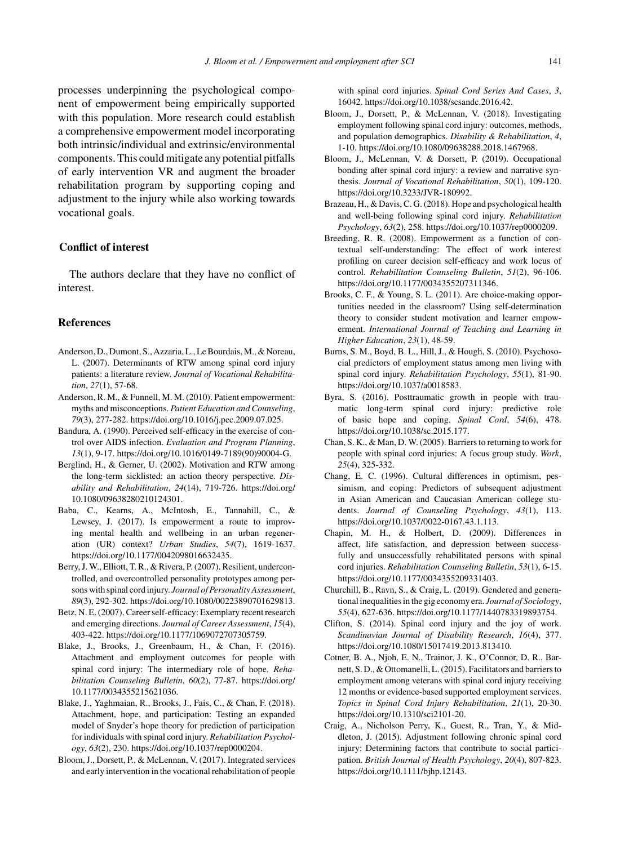processes underpinning the psychological component of empowerment being empirically supported with this population. More research could establish a comprehensive empowerment model incorporating both intrinsic/individual and extrinsic/environmental components. This could mitigate any potential pitfalls of early intervention VR and augment the broader rehabilitation program by supporting coping and adjustment to the injury while also working towards vocational goals.

# **Conflict of interest**

The authors declare that they have no conflict of interest.

#### **References**

- Anderson, D., Dumont, S., Azzaria, L., Le Bourdais, M., & Noreau, L. (2007). Determinants of RTW among spinal cord injury patients: a literature review. *Journal of Vocational Rehabilitation*, *27*(1), 57-68.
- Anderson, R. M., & Funnell, M. M. (2010). Patient empowerment: myths and misconceptions. *Patient Education and Counseling*, *79*(3), 277-282. [https://doi.org/10.1016/j.pec.2009.07.025.](https://doi.org/10.1016/j.pec.2009.07.025)
- Bandura, A. (1990). Perceived self-efficacy in the exercise of control over AIDS infection. *Evaluation and Program Planning*, *13*(1), 9-17. [https://doi.org/10.1016/0149-7189\(90\)90004-G](https://doi.org/10.1016/0149-7189(90)90004-G).
- Berglind, H., & Gerner, U. (2002). Motivation and RTW among the long-term sicklisted: an action theory perspective. *Disability and Rehabilitation*, *24*(14), 719-726. https://doi.org/ 10.1080/09638280210124301.
- Baba, C., Kearns, A., McIntosh, E., Tannahill, C., & Lewsey, J. (2017). Is empowerment a route to improving mental health and wellbeing in an urban regeneration (UR) context? *Urban Studies*, *54*(7), 1619-1637. [https://doi.org/10.1177/0042098016632435.](https://doi.org/10.1177/0042098016632435)
- Berry, J. W., Elliott, T. R., & Rivera, P. (2007). Resilient, undercontrolled, and overcontrolled personality prototypes among persons with spinal cord injury. *Journal of Personality Assessment*, *89*(3), 292-302.<https://doi.org/10.1080/00223890701629813>.
- Betz, N. E. (2007). Career self-efficacy: Exemplary recent research and emerging directions. *Journal of Career Assessment*, *15*(4), 403-422.<https://doi.org/10.1177/1069072707305759>.
- Blake, J., Brooks, J., Greenbaum, H., & Chan, F. (2016). Attachment and employment outcomes for people with spinal cord injury: The intermediary role of hope. *Rehabilitation Counseling Bulletin*, *60*(2), 77-87. https://doi.org/ 10.1177/0034355215621036.
- Blake, J., Yaghmaian, R., Brooks, J., Fais, C., & Chan, F. (2018). Attachment, hope, and participation: Testing an expanded model of Snyder's hope theory for prediction of participation for individuals with spinal cord injury. *Rehabilitation Psychology*, *63*(2), 230. [https://doi.org/10.1037/rep0000204.](https://doi.org/10.1037/rep0000204)
- Bloom, J., Dorsett, P., & McLennan, V. (2017). Integrated services and early intervention in the vocational rehabilitation of people

with spinal cord injuries. *Spinal Cord Series And Cases*, *3*, 16042. [https://doi.org/10.1038/scsandc.2016.42.](https://doi.org/10.1038/scsandc.2016.42)

- Bloom, J., Dorsett, P., & McLennan, V. (2018). Investigating employment following spinal cord injury: outcomes, methods, and population demographics. *Disability & Rehabilitation*, *4*, 1-10.<https://doi.org/10.1080/09638288.2018.1467968>.
- Bloom, J., McLennan, V. & Dorsett, P. (2019). Occupational bonding after spinal cord injury: a review and narrative synthesis. *Journal of Vocational Rehabilitation*, *50*(1), 109-120. [https://doi.org/10.3233/JVR-180992.](https://doi.org/10.3233/JVR-180992)
- Brazeau, H., & Davis, C. G. (2018). Hope and psychological health and well-being following spinal cord injury. *Rehabilitation Psychology*, *63*(2), 258. [https://doi.org/10.1037/rep0000209.](https://doi.org/10.1037/rep0000209)
- Breeding, R. R. (2008). Empowerment as a function of contextual self-understanding: The effect of work interest profiling on career decision self-efficacy and work locus of control. *Rehabilitation Counseling Bulletin*, *51*(2), 96-106. [https://doi.org/10.1177/0034355207311346.](https://doi.org/10.1177/0034355207311346)
- Brooks, C. F., & Young, S. L. (2011). Are choice-making opportunities needed in the classroom? Using self-determination theory to consider student motivation and learner empowerment. *International Journal of Teaching and Learning in Higher Education*, *23*(1), 48-59.
- Burns, S. M., Boyd, B. L., Hill, J., & Hough, S. (2010). Psychosocial predictors of employment status among men living with spinal cord injury. *Rehabilitation Psychology*, *55*(1), 81-90. <https://doi.org/10.1037/a0018583>.
- Byra, S. (2016). Posttraumatic growth in people with traumatic long-term spinal cord injury: predictive role of basic hope and coping. *Spinal Cord*, *54*(6), 478. <https://doi.org/10.1038/sc.2015.177>.
- Chan, S. K., & Man, D. W. (2005). Barriers to returning to work for people with spinal cord injuries: A focus group study. *Work*, *25*(4), 325-332.
- Chang, E. C. (1996). Cultural differences in optimism, pes[simism, and copi](https://doi.org/10.1080/09638280210124301)ng: Predictors of subsequent adjustment in Asian American and Caucasian American college students. *Journal of Counseling Psychology*, *43*(1), 113. <https://doi.org/10.1037/0022-0167.43.1.113>.
- Chapin, M. H., & Holbert, D. (2009). Differences in affect, life satisfaction, and depression between successfully and unsuccessfully rehabilitated persons with spinal cord injuries. *Rehabilitation Counseling Bulletin*, *53*(1), 6-15. [https://doi.org/10.1177/0034355209331403.](https://doi.org/10.1177/0034355209331403)
- Churchill, B., Ravn, S., & Craig, L. (2019). Gendered and generational inequalities in the gig economy era. *Journal of Sociology*, *55*(4), 627-636.<https://doi.org/10.1177/1440783319893754>.
- Clifton, S. (2014). Spinal cord injury and the joy of work. *Scandinavian Journal of Disability Research*, *16*(4), 377. [https://doi.org/10.1080/15017419.2013.813410.](https://doi.org/10.1080/15017419.2013.813410)
- Cotner, B. A., Njoh, E. N., Trainor, J. K., O'Connor, D. R., Barnett, S. D., & Ottomanelli, L. (2015). Facilitators and barriers to [employment amo](https://doi.org/10.1177/0034355215621036)ng veterans with spinal cord injury receiving 12 months or evidence-based supported employment services. *Topics in Spinal Cord Injury Rehabilitation*, *21*(1), 20-30. <https://doi.org/10.1310/sci2101-20>.
- Craig, A., Nicholson Perry, K., Guest, R., Tran, Y., & Middleton, J. (2015). Adjustment following chronic spinal cord injury: Determining factors that contribute to social participation. *British Journal of Health Psychology*, *20*(4), 807-823. <https://doi.org/10.1111/bjhp.12143>.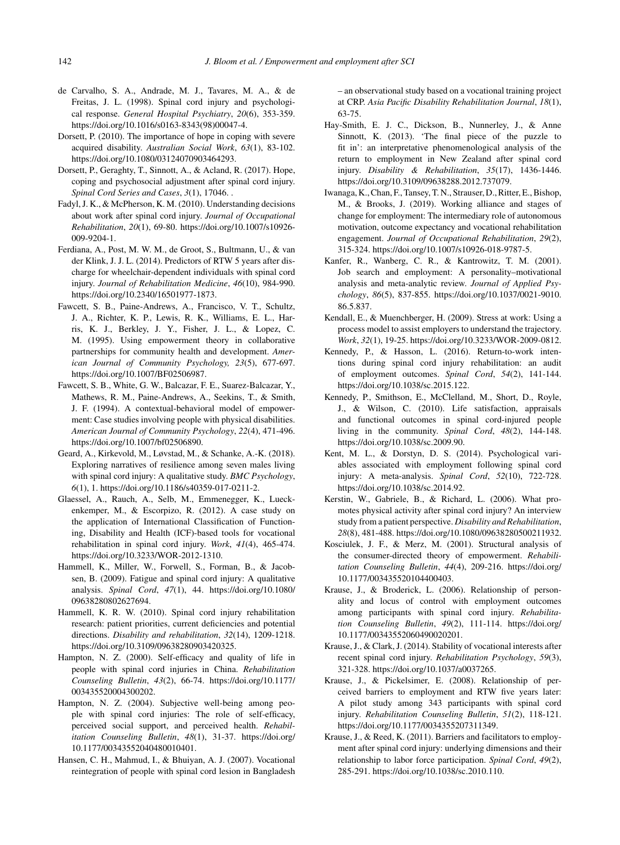- de Carvalho, S. A., Andrade, M. J., Tavares, M. A., & de Freitas, J. L. (1998). Spinal cord injury and psychological response. *General Hospital Psychiatry*, *20*(6), 353-359. [https://doi.org/10.1016/s0163-8343\(98\)00047-4.](https://doi.org/10.1016/s0163-8343(98)00047-4)
- Dorsett, P. (2010). The importance of hope in coping with severe acquired disability. *Australian Social Work*, *63*(1), 83-102. [https://doi.org/10.1080/03124070903464293.](https://doi.org/10.1080/03124070903464293)
- Dorsett, P., Geraghty, T., Sinnott, A., & Acland, R. (2017). Hope, coping and psychosocial adjustment after spinal cord injury. *Spinal Cord Series and Cases*, *3*(1), 17046. .
- Fadyl, J. K., & McPherson, K. M. (2010). Understanding decisions about work after spinal cord injury. *Journal of Occupational Rehabilitation*, *20*(1), 69-80. [https://doi.org/10.1007/s10926-](https://doi.org/10.1007/s10926-009-9204-1) 009-9204-1.
- Ferdiana, A., Post, M. W. M., de Groot, S., Bultmann, U., & van der Klink, J. J. L. (2014). Predictors of RTW 5 years after discharge for wheelchair-dependent individuals with spinal cord injury. *Journal of Rehabilitation Medicine*, *46*(10), 984-990. [https://doi.org/10.2340/16501977-1873.](https://doi.org/10.2340/16501977-1873)
- Fawcett, S. B., Paine-Andrews, A., Francisco, V. T., Schultz, J. A., Richter, K. P., Lewis, R. K., Williams, E. L., Harris, K. J., Berkley, J. Y., Fisher, J. L., & Lopez, C. M. (1995). Using empowerment theory in collaborative partnerships for community health and development. *American Journal of Community Psychology, 23*(5), 677-697. [https://doi.org/10.1007/BF02506987.](https://doi.org/10.1007/BF02506987)
- Fawcett, S. B., White, G. W., Balcazar, F. E., Suarez-Balcazar, Y., Mathews, R. M., Paine-Andrews, A., Seekins, T., & Smith, J. F. (1994). A contextual-behavioral model of empowerment: Case studies involving people with physical disabilities. *American Journal of Community Psychology*, *22*(4), 471-496. [https://doi.org/10.1007/bf02506890.](https://doi.org/10.1007/bf02506890)
- Geard, A., Kirkevold, M., Løvstad, M., & Schanke, A.-K. (2018). Exploring narratives of resilience among seven males living with spinal cord injury: A qualitative study. *BMC Psychology*, *6*(1), 1.<https://doi.org/10.1186/s40359-017-0211-2>.
- Glaessel, A., Rauch, A., Selb, M., Emmenegger, K., Lueckenkemper, M., & Escorpizo, R. (2012). A case study on the application of International Classification of Functioning, Disability and Health (ICF)-based tools for vocational rehabilitation in spinal cord injury. *Work*, *41*(4), 465-474. [https://doi.org/10.3233/WOR-2012-1310.](https://doi.org/10.3233/WOR-2012-1310)
- Hammell, K., Miller, W., Forwell, S., Forman, B., & Jacobsen, B. (2009). Fatigue and spinal cord injury: A qualitative analysis. *Spinal Cord*, *47*(1), 44. [https://doi.org/10.1080/](https://doi.org/10.1080/09638280802627694) 09638280802627694.
- Hammell, K. R. W. (2010). Spinal cord injury rehabilitation research: patient priorities, current deficiencies and potential directions. *Disability and rehabilitation*, *32*(14), 1209-1218. [https://doi.org/10.3109/09638280903420325.](https://doi.org/10.3109/09638280903420325)
- Hampton, N. Z. (2000). Self-efficacy and quality of life in people with spinal cord injuries in China. *Rehabilitation Counseling Bulletin*, *43*(2), 66-74. [https://doi.org/10.1177/](https://doi.org/10.1177/003435520004300202) 003435520004300202.
- Hampton, N. Z. (2004). Subjective well-being among people with spinal cord injuries: The role of self-efficacy, perceived social support, and perceived health. *Rehabilitation Counseling Bulletin*, *48*(1), 31-37. https://doi.org/ 10.1177/00343552040480010401.
- Hansen, C. H., Mahmud, I., & Bhuiyan, A. J. (2007). Vocational reintegration of people with spinal cord lesion in Bangladesh

– an observational study based on a vocational training project at CRP. *Asia Pacific Disability Rehabilitation Journal*, *18*(1), 63-75.

- Hay-Smith, E. J. C., Dickson, B., Nunnerley, J., & Anne Sinnott, K. (2013). 'The final piece of the puzzle to fit in': an interpretative phenomenological analysis of the return to employment in New Zealand after spinal cord injury. *Disability & Rehabilitation*, *35*(17), 1436-1446. [https://doi.org/10.3109/09638288.2012.737079.](https://doi.org/10.3109/09638288.2012.737079)
- Iwanaga, K., Chan, F., Tansey, T. N., Strauser, D., Ritter, E., Bishop, M., & Brooks, J. (2019). Working alliance and stages of change for employment: The intermediary role of autonomous motivation, outcome expectancy and vocational rehabilitation engagement. *Journal of Occupational Rehabilitation*, *29*(2), 315-324.<https://doi.org/10.1007/s10926-018-9787-5>.
- Kanfer, R., Wanberg, C. R., & Kantrowitz, T. M. (2001). Job search and employment: A personality–motivational analysis and meta-analytic review. *Journal of Applied Psychology*, *86*(5), 837-855. [https://doi.org/10.1037/0021-9010.](https://doi.org/10.1037/0021-9010.86.5.837) 86.5.837.
- Kendall, E., & Muenchberger, H. (2009). Stress at work: Using a process model to assist employers to understand the trajectory. *Work*, *32*(1), 19-25.<https://doi.org/10.3233/WOR-2009-0812>.
- Kennedy, P., & Hasson, L. (2016). Return-to-work intentions during spinal cord injury rehabilitation: an audit of employment outcomes. *Spinal Cord*, *54*(2), 141-144. <https://doi.org/10.1038/sc.2015.122>.
- Kennedy, P., Smithson, E., McClelland, M., Short, D., Royle, J., & Wilson, C. (2010). Life satisfaction, appraisals and functional outcomes in spinal cord-injured people living in the community. *Spinal Cord*, *48*(2), 144-148. <https://doi.org/10.1038/sc.2009.90>.
- Kent, M. L., & Dorstyn, D. S. (2014). Psychological variables associated with employment following spinal cord injury: A meta-analysis. *Spinal Cord*, *52*(10), 722-728. <https://doi.org/10.1038/sc.2014.92>.
- Kerstin, W., Gabriele, B., & Richard, L. (2006). What promotes physical activity after spinal cord injury? An interview study from a patient perspective. *Disability and Rehabilitation*, *28*(8), 481-488.<https://doi.org/10.1080/09638280500211932>.
- Kosciulek, J. F., & Merz, M. (2001). Structural analysis of the consumer-directed theory of empowerment. *Rehabilitation Counseling Bulletin*, *44*(4), 209-216. [https://doi.org/](https://doi.org/10.1177/003435520104400403) 10.1177/003435520104400403.
- Krause, J., & Broderick, L. (2006). Relationship of personality and locus of control with employment outcomes among participants with spinal cord injury. *Rehabilitation Counseling Bulletin*, *49*(2), 111-114. [https://doi.org/](https://doi.org/10.1177/00343552060490020201) 10.1177/00343552060490020201.
- Krause, J., & Clark, J. (2014). Stability of vocational interests after recent spinal cord injury. *Rehabilitation Psychology*, *59*(3), 321-328. [https://doi.org/10.1037/a0037265.](https://doi.org/10.1037/a0037265)
- Krause, J., & Pickelsimer, E. (2008). Relationship of perceived barriers to employment and RTW five years later: A pilot study among 343 participants with spinal cord injury. *Rehabilitation Counseling Bulletin*, *51*(2), 118-121. [https://doi.org/10.1177/0034355207311349.](https://doi.org/10.1177/0034355207311349)
- [Krause, J., & Reed, K. \(20](https://doi.org/10.1177/00343552040480010401)11). Barriers and facilitators to employment after spinal cord injury: underlying dimensions and their relationship to labor force participation. *Spinal Cord*, *49*(2), 285-291. [https://doi.org/10.1038/sc.2010.110.](https://doi.org/10.1038/sc.2010.110)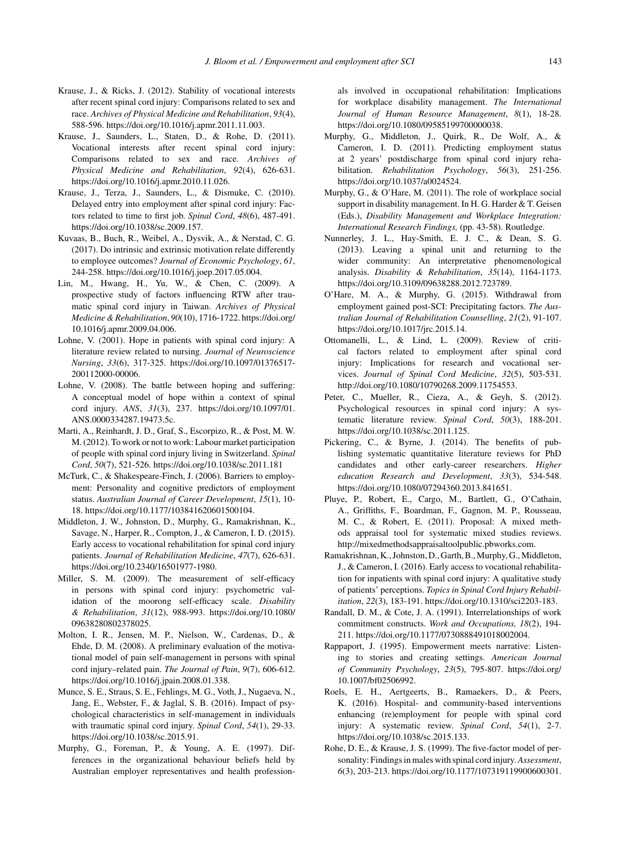- Krause, J., & Ricks, J. (2012). Stability of vocational interests after recent spinal cord injury: Comparisons related to sex and race. *Archives of Physical Medicine and Rehabilitation*, *93*(4), 588-596. [https://doi.org/10.1016/j.apmr.2011.11.003.](https://doi.org/10.1016/j.apmr.2011.11.003)
- Krause, J., Saunders, L., Staten, D., & Rohe, D. (2011). Vocational interests after recent spinal cord injury: Comparisons related to sex and race. *Archives of Physical Medicine and Rehabilitation*, *92*(4), 626-631. <https://doi.org/10.1016/j.apmr.2010.11.026>.
- Krause, J., Terza, J., Saunders, L., & Dismuke, C. (2010). Delayed entry into employment after spinal cord injury: Factors related to time to first job. *Spinal Cord*, *48*(6), 487-491. [https://doi.org/10.1038/sc.2009.157.](https://doi.org/10.1038/sc.2009.157)
- Kuvaas, B., Buch, R., Weibel, A., Dysvik, A., & Nerstad, C. G. (2017). Do intrinsic and extrinsic motivation relate differently to employee outcomes? *Journal of Economic Psychology*, *61*, 244-258.<https://doi.org/10.1016/j.joep.2017.05.004>.
- Lin, M., Hwang, H., Yu, W., & Chen, C. (2009). A prospective study of factors influencing RTW after traumatic spinal cord injury in Taiwan. *Archives of Physical Medicine & Rehabilitation*, *90*(10), 1716-1722. https://doi.org/ 10.1016/j.apmr.2009.04.006.
- Lohne, V. (2001). Hope in patients with spinal cord injury: A literature review related to nursing. *Journal of Neuroscience Nursing*, *33*(6), 317-325. [https://doi.org/10.1097/01376517-](https://doi.org/10.1097/01376517-200112000-00006) 200112000-00006.
- Lohne, V. (2008). The battle between hoping and suffering: A conceptual model of hope within a context of spinal cord injury. *ANS*, *31*(3), 237. [https://doi.org/10.1097/01.](https://doi.org/10.1097/01.ANS.0000334287.19473.5c) ANS.0000334287.19473.5c.
- Marti, A., Reinhardt, J. D., Graf, S., Escorpizo, R., & Post, M. W. M. (2012). To work or not to work: Labour market participation of people with spinal cord injury living in Switzerland. *Spinal Cord*, *50*(7), 521-526.<https://doi.org/10.1038/sc.2011.181>
- McTurk, C., & Shakespeare-Finch, J. (2006). Barriers to employment: Personality and cognitive predictors of employment status. *Australian Journal of Career Development*, *15*(1), 10- 18. [https://doi.org/10.1177/103841620601500104.](https://doi.org/10.1177/103841620601500104)
- Middleton, J. W., Johnston, D., Murphy, G., Ramakrishnan, K., Savage, N., Harper, R., Compton, J., & Cameron, I. D. (2015). Early access to vocational rehabilitation for spinal cord injury patients. *Journal of Rehabilitation Medicine*, *47*(7), 626-631. [https://doi.org/10.2340/16501977-1980.](https://doi.org/10.2340/16501977-1980)
- Miller, S. M. (2009). The measurement of self-efficacy in persons with spinal cord injury: psychometric validation of the moorong self-efficacy scale. *Disability & Rehabilitation*, *31*(12), 988-993. [https://doi.org/10.1080/](https://doi.org/10.1080/09638280802378025) 09638280802378025.
- Molton, I. R., Jensen, M. P., Nielson, W., Cardenas, D., & Ehde, D. M. (2008). A preliminary evaluation of the motivational model of pain self-management in persons with spinal cord injury–related pain. *The Journal of Pain*, *9*(7), 606-612. <https://doi.org/10.1016/j.jpain.2008.01.338>.
- Munce, S. E., Straus, S. E., Fehlings, M. G., Voth, J., Nugaeva, N., Jang, E., Webster, F., & Jaglal, S. B. (2016). Impact of psychological characteristics in self-management in individuals with traumatic spinal cord injury. *Spinal Cord*, *54*(1), 29-33. [https://doi.org/10.1038/sc.2015.91.](https://doi.org/10.1038/sc.2015.91)
- Murphy, G., Foreman, P., & Young, A. E. (1997). Differences in the organizational behaviour beliefs held by Australian employer representatives and health profession-

als involved in occupational rehabilitation: Implications for workplace disability management. *The International Journal of Human Resource Management*, *8*(1), 18-28. [https://doi.org/10.1080/09585199700000038.](https://doi.org/10.1080/09585199700000038)

- Murphy, G., Middleton, J., Quirk, R., De Wolf, A., & Cameron, I. D. (2011). Predicting employment status at 2 years' postdischarge from spinal cord injury rehabilitation. *Rehabilitation Psychology*, *56*(3), 251-256. <https://doi.org/10.1037/a0024524>.
- Murphy, G., & O'Hare, M. (2011). The role of workplace social support in disability management. In H. G. Harder & T. Geisen (Eds.), *Disability Management and Workplace Integration: International Research Findings,* (pp. 43-58). Routledge.
- Nunnerley, J. L., Hay-Smith, E. J. C., & Dean, S. G. (2013). Leaving a spinal unit and returning to the wider community: An interpretative phenomenological analysis. *Disability & Rehabilitation*, *35*(14), 1164-1173. [https://doi.org/10.3109/09638288.2012.723789.](https://doi.org/10.3109/09638288.2012.723789)
- O'Hare, M. A., & Murphy, G. (2015). Withdrawal from employment gained post-SCI: Precipitating factors. *The Aus[tralian Journal o](https://doi.org/10.1016/j.apmr.2009.04.006)f Rehabilitation Counselling*, *21*(2), 91-107. <https://doi.org/10.1017/jrc.2015.14>.
- Ottomanelli, L., & Lind, L. (2009). Review of critical factors related to employment after spinal cord injury: Implications for research and vocational services. *Journal of Spinal Cord Medicine*, *32*(5), 503-531. [http://doi.org/10.1080/10790268.2009.11754553.](http://doi.org/10.1080/10790268.2009.11754553)
- Peter, C., Mueller, R., Cieza, A., & Geyh, S. (2012). Psychological resources in spinal cord injury: A systematic literature review. *Spinal Cord*, *50*(3), 188-201. <https://doi.org/10.1038/sc.2011.125>.
- Pickering, C., & Byrne, J. (2014). The benefits of publishing systematic quantitative literature reviews for PhD candidates and other early-career researchers. *Higher education Research and Development*, *33*(3), 534-548. [https://doi.org/10.1080/07294360.2013.841651.](https://doi.org/10.1080/07294360.2013.841651)
- Pluye, P., Robert, E., Cargo, M., Bartlett, G., O'Cathain, A., Griffiths, F., Boardman, F., Gagnon, M. P., Rousseau, M. C., & Robert, E. (2011). Proposal: A mixed methods appraisal tool for systematic mixed studies reviews. [http://mixedmethodsappraisaltoolpublic.pbworks.com.](http://mixedmethodsappraisaltoolpublic.pbworks.com)
- Ramakrishnan, K., Johnston, D., Garth, B., Murphy, G., Middleton, J., & Cameron, I. (2016). Early access to vocational rehabilitation for inpatients with spinal cord injury: A qualitative study of patients' perceptions. *Topics in Spinal Cord Injury Rehabilitation*, *22*(3), 183-191. [https://doi.org/10.1310/sci2203-183.](https://doi.org/10.1310/sci2203-183)
- Randall, D. M., & Cote, J. A. (1991). Interrelationships of work commitment constructs. *Work and Occupations, 18*(2), 194- 211. [https://doi.org/10.1177/0730888491018002004.](https://doi.org/10.1177/0730888491018002004)
- Rappaport, J. (1995). Empowerment meets narrative: Listening to stories and creating settings. *American Journal of Community Psychology*, *23*(5), 795-807. [https://doi.org/](https://doi.org/10.1007/bf02506992) 10.1007/bf02506992.
- Roels, E. H., Aertgeerts, B., Ramaekers, D., & Peers, K. (2016). Hospital- and community-based interventions enhancing (re)employment for people with spinal cord injury: A systematic review. *Spinal Cord*, *54*(1), 2-7. <https://doi.org/10.1038/sc.2015.133>.
- Rohe, D. E., & Krause, J. S. (1999). The five-factor model of personality: Findings in males with spinal cord injury. *Assessment*, *6*(3), 203-213.<https://doi.org/10.1177/107319119900600301>.